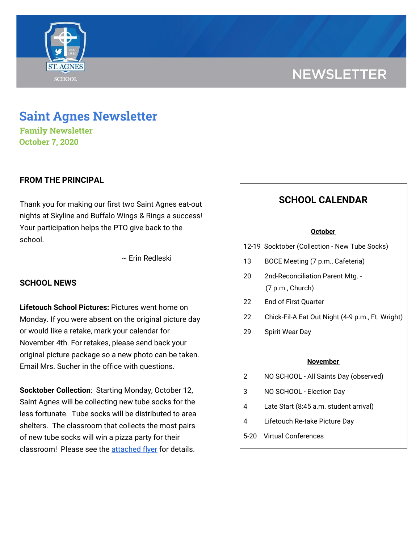

# **NEWSLETTER**

## **Saint Agnes Newsletter**

**Family Newsletter October 7, 2020**

## **FROM THE PRINCIPAL**

Thank you for making our first two Saint Agnes eat-out nights at Skyline and Buffalo Wings & Rings a success! Your participation helps the PTO give back to the school.

~ Erin Redleski

## **SCHOOL NEWS**

**Lifetouch School Pictures:** Pictures went home on Monday. If you were absent on the original picture day or would like a retake, mark your calendar for November 4th. For retakes, please send back your original picture package so a new photo can be taken. Email Mrs. Sucher in the office with questions.

**Socktober Collection**: Starting Monday, October 12, Saint Agnes will be collecting new tube socks for the less fortunate. Tube socks will be distributed to area shelters. The classroom that collects the most pairs of new tube socks will win a pizza party for their classroom! Please see the [attached](https://school.saintagnes.com/wp-content/uploads/2020/10/Socktober-Flyer-10-7-2020.pdf) flyer for details.

## **SCHOOL CALENDAR**

#### **October**

12-19 Socktober (Collection - New Tube Socks)

- 13 BOCE Meeting (7 p.m., Cafeteria)
- 20 2nd-Reconciliation Parent Mtg. (7 p.m., Church)
- 22 End of First Quarter
- 22 Chick-Fil-A Eat Out Night (4-9 p.m., Ft. Wright)
- 29 Spirit Wear Day

#### **November**

- 2 NO SCHOOL All Saints Day (observed)
- 3 NO SCHOOL Election Day
- 4 Late Start (8:45 a.m. student arrival)
- 4 Lifetouch Re-take Picture Day
- 5-20 Virtual Conferences